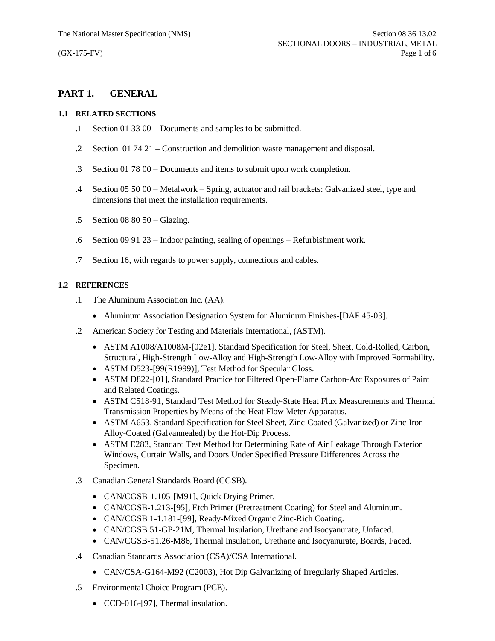# **PART 1. GENERAL**

## **1.1 RELATED SECTIONS**

- .1 Section 01 33 00 Documents and samples to be submitted.
- .2 Section 01 74 21 Construction and demolition waste management and disposal.
- .3 Section 01 78 00 Documents and items to submit upon work completion.
- .4 Section 05 50 00 Metalwork Spring, actuator and rail brackets: Galvanized steel, type and dimensions that meet the installation requirements.
- .5 Section 08 80 50 Glazing.
- .6 Section 09 91 23 Indoor painting, sealing of openings Refurbishment work.
- .7 Section 16, with regards to power supply, connections and cables.

## **1.2 REFERENCES**

- .1 The Aluminum Association Inc. (AA).
	- Aluminum Association Designation System for Aluminum Finishes-[DAF 45-03].
- .2 American Society for Testing and Materials International, (ASTM).
	- · ASTM A1008/A1008M-[02e1], Standard Specification for Steel, Sheet, Cold-Rolled, Carbon, Structural, High-Strength Low-Alloy and High-Strength Low-Alloy with Improved Formability.
	- ASTM D523-[99(R1999)], Test Method for Specular Gloss.
	- · ASTM D822-[01], Standard Practice for Filtered Open-Flame Carbon-Arc Exposures of Paint and Related Coatings.
	- · ASTM C518-91, Standard Test Method for Steady-State Heat Flux Measurements and Thermal Transmission Properties by Means of the Heat Flow Meter Apparatus.
	- · ASTM A653, Standard Specification for Steel Sheet, Zinc-Coated (Galvanized) or Zinc-Iron Alloy-Coated (Galvannealed) by the Hot-Dip Process.
	- · ASTM E283, Standard Test Method for Determining Rate of Air Leakage Through Exterior Windows, Curtain Walls, and Doors Under Specified Pressure Differences Across the Specimen.
- .3 Canadian General Standards Board (CGSB).
	- CAN/CGSB-1.105-[M91], Quick Drying Primer.
	- · CAN/CGSB-1.213-[95], Etch Primer (Pretreatment Coating) for Steel and Aluminum.
	- · CAN/CGSB 1-1.181-[99], Ready-Mixed Organic Zinc-Rich Coating.
	- · CAN/CGSB 51-GP-21M, Thermal Insulation, Urethane and Isocyanurate, Unfaced.
	- · CAN/CGSB-51.26-M86, Thermal Insulation, Urethane and Isocyanurate, Boards, Faced.
- .4 Canadian Standards Association (CSA)/CSA International.
	- CAN/CSA-G164-M92 (C2003), Hot Dip Galvanizing of Irregularly Shaped Articles.
- .5 Environmental Choice Program (PCE).
	- CCD-016-[97], Thermal insulation.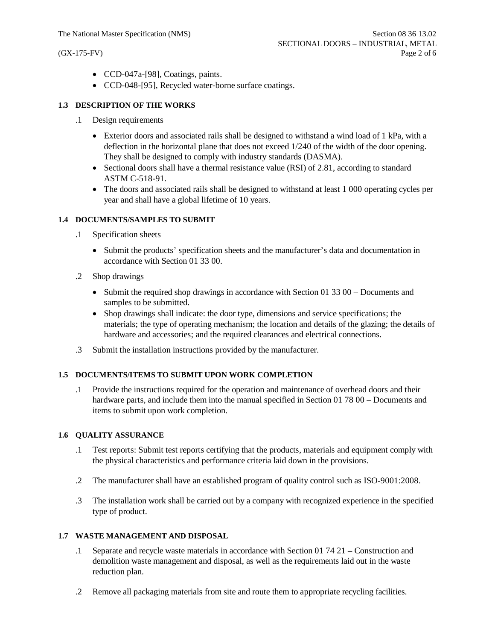- · CCD-047a-[98], Coatings, paints.
- · CCD-048-[95], Recycled water-borne surface coatings.

## **1.3 DESCRIPTION OF THE WORKS**

- .1 Design requirements
	- Exterior doors and associated rails shall be designed to withstand a wind load of 1 kPa, with a deflection in the horizontal plane that does not exceed 1/240 of the width of the door opening. They shall be designed to comply with industry standards (DASMA).
	- Sectional doors shall have a thermal resistance value (RSI) of 2.81, according to standard ASTM C-518-91.
	- The doors and associated rails shall be designed to withstand at least 1 000 operating cycles per year and shall have a global lifetime of 10 years.

## **1.4 DOCUMENTS/SAMPLES TO SUBMIT**

- .1 Specification sheets
	- · Submit the products' specification sheets and the manufacturer's data and documentation in accordance with Section 01 33 00.
- .2 Shop drawings
	- Submit the required shop drawings in accordance with Section 01 33 00 Documents and samples to be submitted.
	- · Shop drawings shall indicate: the door type, dimensions and service specifications; the materials; the type of operating mechanism; the location and details of the glazing; the details of hardware and accessories; and the required clearances and electrical connections.
- .3 Submit the installation instructions provided by the manufacturer.

## **1.5 DOCUMENTS/ITEMS TO SUBMIT UPON WORK COMPLETION**

.1 Provide the instructions required for the operation and maintenance of overhead doors and their hardware parts, and include them into the manual specified in Section 01 78 00 – Documents and items to submit upon work completion.

#### **1.6 QUALITY ASSURANCE**

- .1 Test reports: Submit test reports certifying that the products, materials and equipment comply with the physical characteristics and performance criteria laid down in the provisions.
- .2 The manufacturer shall have an established program of quality control such as ISO-9001:2008.
- .3 The installation work shall be carried out by a company with recognized experience in the specified type of product.

## **1.7 WASTE MANAGEMENT AND DISPOSAL**

- .1 Separate and recycle waste materials in accordance with Section 01 74 21 Construction and demolition waste management and disposal, as well as the requirements laid out in the waste reduction plan.
- .2 Remove all packaging materials from site and route them to appropriate recycling facilities.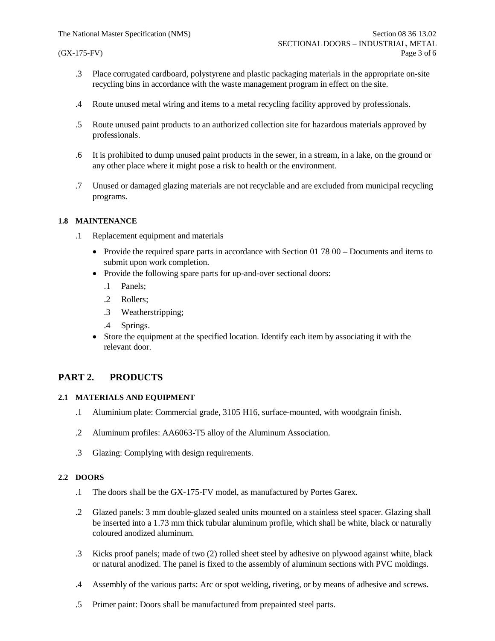- .3 Place corrugated cardboard, polystyrene and plastic packaging materials in the appropriate on-site recycling bins in accordance with the waste management program in effect on the site.
- .4 Route unused metal wiring and items to a metal recycling facility approved by professionals.
- .5 Route unused paint products to an authorized collection site for hazardous materials approved by professionals.
- .6 It is prohibited to dump unused paint products in the sewer, in a stream, in a lake, on the ground or any other place where it might pose a risk to health or the environment.
- .7 Unused or damaged glazing materials are not recyclable and are excluded from municipal recycling programs.

## **1.8 MAINTENANCE**

- .1 Replacement equipment and materials
	- Provide the required spare parts in accordance with Section 01 78 00 Documents and items to submit upon work completion.
	- Provide the following spare parts for up-and-over sectional doors:
		- .1 Panels;
		- .2 Rollers;
		- .3 Weatherstripping;
		- .4 Springs.
	- Store the equipment at the specified location. Identify each item by associating it with the relevant door.

# **PART 2. PRODUCTS**

#### **2.1 MATERIALS AND EQUIPMENT**

- .1 Aluminium plate: Commercial grade, 3105 H16, surface-mounted, with woodgrain finish.
- .2 Aluminum profiles: AA6063-T5 alloy of the Aluminum Association.
- .3 Glazing: Complying with design requirements.

## **2.2 DOORS**

- .1 The doors shall be the GX-175-FV model, as manufactured by Portes Garex.
- .2 Glazed panels: 3 mm double-glazed sealed units mounted on a stainless steel spacer. Glazing shall be inserted into a 1.73 mm thick tubular aluminum profile, which shall be white, black or naturally coloured anodized aluminum.
- .3 Kicks proof panels; made of two (2) rolled sheet steel by adhesive on plywood against white, black or natural anodized. The panel is fixed to the assembly of aluminum sections with PVC moldings.
- .4 Assembly of the various parts: Arc or spot welding, riveting, or by means of adhesive and screws.
- .5 Primer paint: Doors shall be manufactured from prepainted steel parts.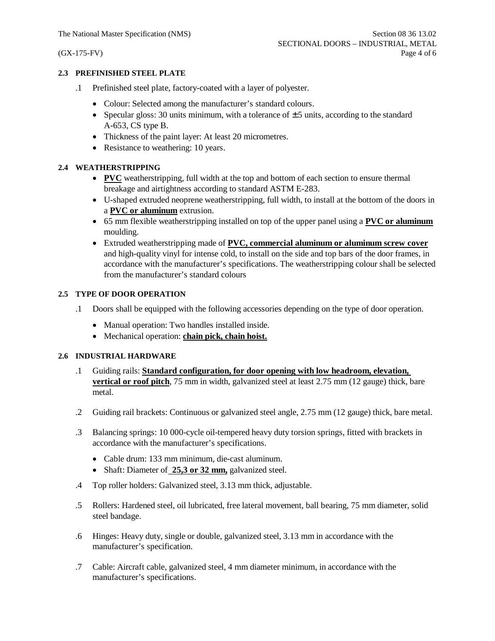## **2.3 PREFINISHED STEEL PLATE**

- .1 Prefinished steel plate, factory-coated with a layer of polyester.
	- · Colour: Selected among the manufacturer's standard colours.
	- Specular gloss: 30 units minimum, with a tolerance of  $\pm$  5 units, according to the standard A-653, CS type B.
	- Thickness of the paint layer: At least 20 micrometres.
	- Resistance to weathering: 10 years.

# **2.4 WEATHERSTRIPPING**

- · **PVC** weatherstripping, full width at the top and bottom of each section to ensure thermal breakage and airtightness according to standard ASTM E-283.
- · U-shaped extruded neoprene weatherstripping, full width, to install at the bottom of the doors in a **PVC or aluminum** extrusion.
- · 65 mm flexible weatherstripping installed on top of the upper panel using a **PVC or aluminum** moulding.
- · Extruded weatherstripping made of **PVC, commercial aluminum or aluminum screw cover** and high-quality vinyl for intense cold, to install on the side and top bars of the door frames, in accordance with the manufacturer's specifications. The weatherstripping colour shall be selected from the manufacturer's standard colours

# **2.5 TYPE OF DOOR OPERATION**

- .1 Doors shall be equipped with the following accessories depending on the type of door operation.
	- · Manual operation: Two handles installed inside.
	- · Mechanical operation: **chain pick, chain hoist.**

## **2.6 INDUSTRIAL HARDWARE**

- .1 Guiding rails: **Standard configuration, for door opening with low headroom, elevation, vertical or roof pitch**, 75 mm in width, galvanized steel at least 2.75 mm (12 gauge) thick, bare metal.
- .2 Guiding rail brackets: Continuous or galvanized steel angle, 2.75 mm (12 gauge) thick, bare metal.
- .3 Balancing springs: 10 000-cycle oil-tempered heavy duty torsion springs, fitted with brackets in accordance with the manufacturer's specifications.
	- · Cable drum: 133 mm minimum, die-cast aluminum.
	- · Shaft: Diameter of **25,3 or 32 mm,** galvanized steel.
- .4 Top roller holders: Galvanized steel, 3.13 mm thick, adjustable.
- .5 Rollers: Hardened steel, oil lubricated, free lateral movement, ball bearing, 75 mm diameter, solid steel bandage.
- .6 Hinges: Heavy duty, single or double, galvanized steel, 3.13 mm in accordance with the manufacturer's specification.
- .7 Cable: Aircraft cable, galvanized steel, 4 mm diameter minimum, in accordance with the manufacturer's specifications.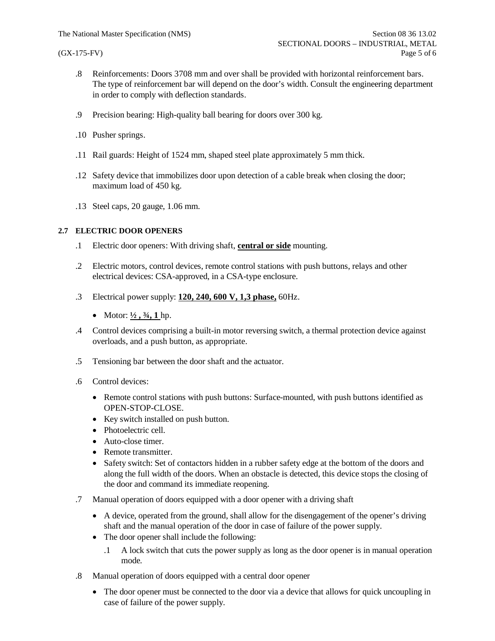- .8 Reinforcements: Doors 3708 mm and over shall be provided with horizontal reinforcement bars. The type of reinforcement bar will depend on the door's width. Consult the engineering department in order to comply with deflection standards.
- .9 Precision bearing: High-quality ball bearing for doors over 300 kg.
- .10 Pusher springs.
- .11 Rail guards: Height of 1524 mm, shaped steel plate approximately 5 mm thick.
- .12 Safety device that immobilizes door upon detection of a cable break when closing the door; maximum load of 450 kg.
- .13 Steel caps, 20 gauge, 1.06 mm.

## **2.7 ELECTRIC DOOR OPENERS**

- .1 Electric door openers: With driving shaft, **central or side** mounting.
- .2 Electric motors, control devices, remote control stations with push buttons, relays and other electrical devices: CSA-approved, in a CSA-type enclosure.
- .3 Electrical power supply: **120, 240, 600 V, 1,3 phase,** 60Hz.
	- Motor:  $\frac{1}{2}$ ,  $\frac{3}{4}$ , 1 hp.
- .4 Control devices comprising a built-in motor reversing switch, a thermal protection device against overloads, and a push button, as appropriate.
- .5 Tensioning bar between the door shaft and the actuator.
- .6 Control devices:
	- Remote control stations with push buttons: Surface-mounted, with push buttons identified as OPEN-STOP-CLOSE.
	- Key switch installed on push button.
	- Photoelectric cell.
	- Auto-close timer.
	- Remote transmitter.
	- · Safety switch: Set of contactors hidden in a rubber safety edge at the bottom of the doors and along the full width of the doors. When an obstacle is detected, this device stops the closing of the door and command its immediate reopening.
- .7 Manual operation of doors equipped with a door opener with a driving shaft
	- · A device, operated from the ground, shall allow for the disengagement of the opener's driving shaft and the manual operation of the door in case of failure of the power supply.
	- The door opener shall include the following:
		- .1 A lock switch that cuts the power supply as long as the door opener is in manual operation mode.
- .8 Manual operation of doors equipped with a central door opener
	- The door opener must be connected to the door via a device that allows for quick uncoupling in case of failure of the power supply.